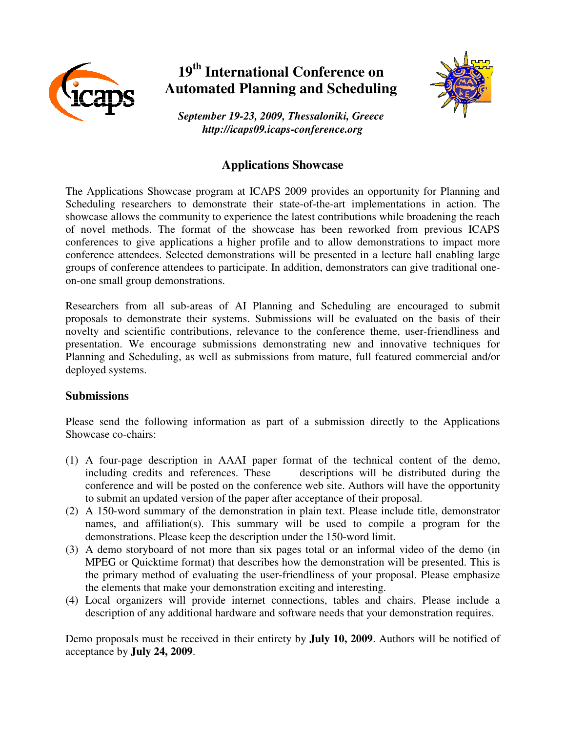

## **19th International Conference on Automated Planning and Scheduling**



*September 19-23, 2009, Thessaloniki, Greece http://icaps09.icaps-conference.org*

## **Applications Showcase**

The Applications Showcase program at ICAPS 2009 provides an opportunity for Planning and Scheduling researchers to demonstrate their state-of-the-art implementations in action. The showcase allows the community to experience the latest contributions while broadening the reach of novel methods. The format of the showcase has been reworked from previous ICAPS conferences to give applications a higher profile and to allow demonstrations to impact more conference attendees. Selected demonstrations will be presented in a lecture hall enabling large groups of conference attendees to participate. In addition, demonstrators can give traditional oneon-one small group demonstrations.

Researchers from all sub-areas of AI Planning and Scheduling are encouraged to submit proposals to demonstrate their systems. Submissions will be evaluated on the basis of their novelty and scientific contributions, relevance to the conference theme, user-friendliness and presentation. We encourage submissions demonstrating new and innovative techniques for Planning and Scheduling, as well as submissions from mature, full featured commercial and/or deployed systems.

## **Submissions**

Please send the following information as part of a submission directly to the Applications Showcase co-chairs:

- (1) A four-page description in AAAI paper format of the technical content of the demo, including credits and references. These descriptions will be distributed during the conference and will be posted on the conference web site. Authors will have the opportunity to submit an updated version of the paper after acceptance of their proposal.
- (2) A 150-word summary of the demonstration in plain text. Please include title, demonstrator names, and affiliation(s). This summary will be used to compile a program for the demonstrations. Please keep the description under the 150-word limit.
- (3) A demo storyboard of not more than six pages total or an informal video of the demo (in MPEG or Quicktime format) that describes how the demonstration will be presented. This is the primary method of evaluating the user-friendliness of your proposal. Please emphasize the elements that make your demonstration exciting and interesting.
- (4) Local organizers will provide internet connections, tables and chairs. Please include a description of any additional hardware and software needs that your demonstration requires.

Demo proposals must be received in their entirety by **July 10, 2009**. Authors will be notified of acceptance by **July 24, 2009**.